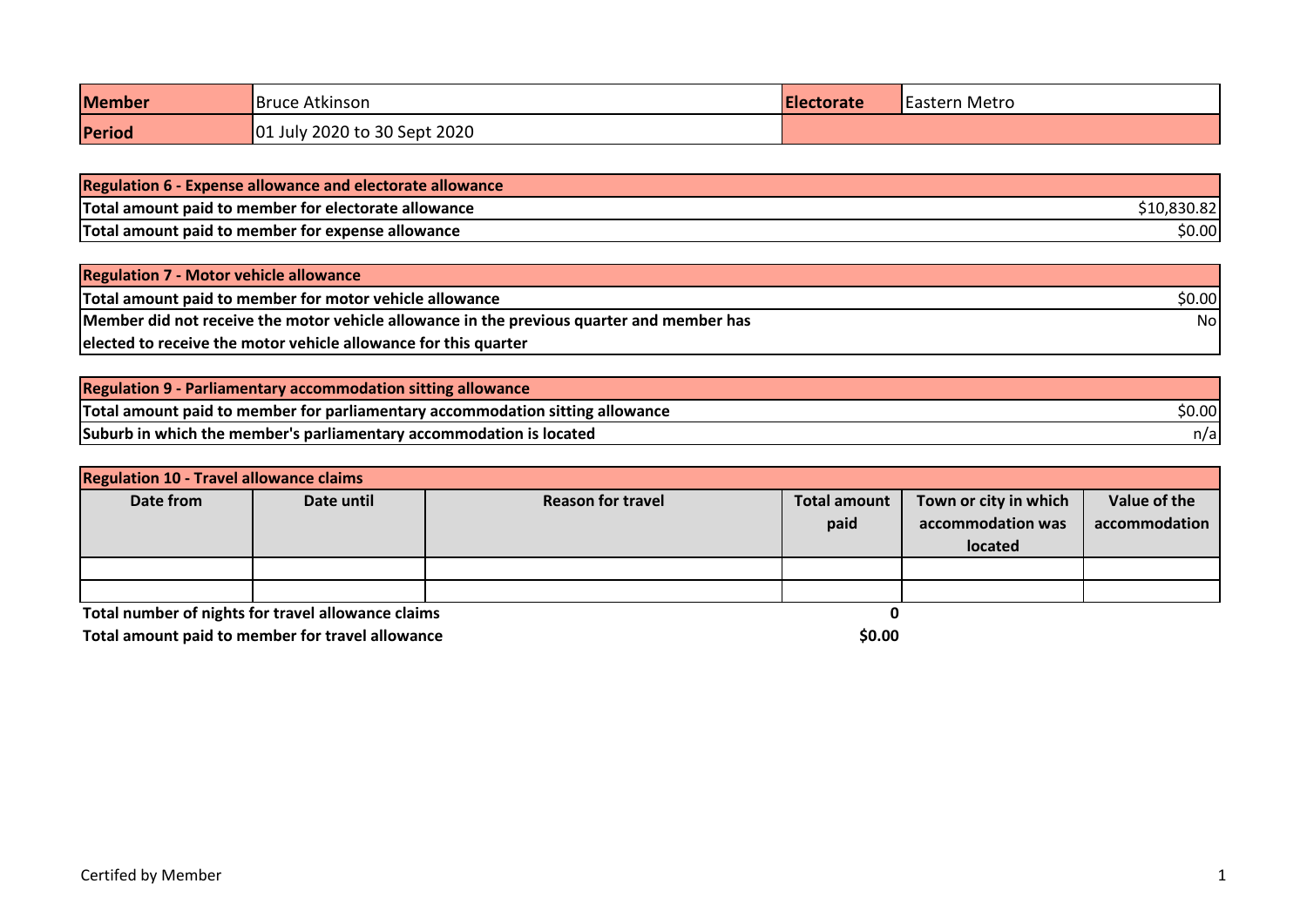| <b>Member</b> | <b>Bruce Atkinson</b>        | <b>IElectorate</b> | <b>Eastern Metro</b> |
|---------------|------------------------------|--------------------|----------------------|
| Period        | 01 July 2020 to 30 Sept 2020 |                    |                      |

| <b>Regulation 6 - Expense allowance and electorate allowance</b> |        |
|------------------------------------------------------------------|--------|
| Total amount paid to member for electorate allowance             |        |
| Total amount paid to member for expense allowance                | \$0.00 |

| Regulation 7 - Motor vehicle allowance                                                    |        |
|-------------------------------------------------------------------------------------------|--------|
| Total amount paid to member for motor vehicle allowance                                   | \$0.00 |
| Member did not receive the motor vehicle allowance in the previous quarter and member has | Nol    |
| elected to receive the motor vehicle allowance for this quarter                           |        |

| <b>Regulation 9 - Parliamentary accommodation sitting allowance</b>           |        |
|-------------------------------------------------------------------------------|--------|
| Total amount paid to member for parliamentary accommodation sitting allowance | \$0.00 |
| Suburb in which the member's parliamentary accommodation is located           | n/a    |

| <b>Regulation 10 - Travel allowance claims</b>     |            |                          |                     |                       |               |
|----------------------------------------------------|------------|--------------------------|---------------------|-----------------------|---------------|
| Date from                                          | Date until | <b>Reason for travel</b> | <b>Total amount</b> | Town or city in which | Value of the  |
|                                                    |            |                          | paid                | accommodation was     | accommodation |
|                                                    |            |                          |                     | located               |               |
|                                                    |            |                          |                     |                       |               |
|                                                    |            |                          |                     |                       |               |
| Total number of nights for travel allowance claims |            |                          |                     |                       |               |

Total amount paid to member for travel allowance **<b>EXECUSE 2008** \$0.00